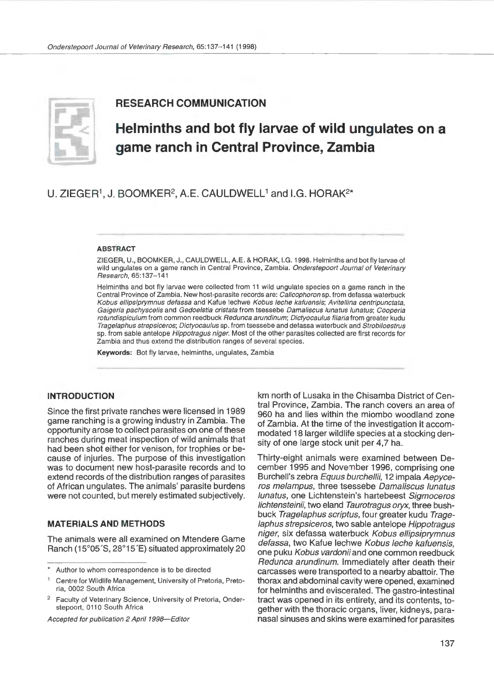

## **RESEARCH COMMUNICATION**

# **Helminths and bot fly larvae of wild ungulates on a game ranch in Central Province, Zambia**

## U. ZIEGER<sup>1</sup>, J. BOOMKER<sup>2</sup>, A.E. CAULDWELL<sup>1</sup> and I.G. HORAK<sup>2\*</sup>

#### ABSTRACT

ZIEGER, U., BOOMKER, J., CAULDWELL, A.E. & HORAK, I.G. 1998. Helminths and bot fly larvae of wild ungulates on a game ranch in Central Province, Zambia. Onderstepoort Journal of Veterinary Research, 65:137-141

Helminths and bot fly larvae were collected from 11 wild ungulate species on a game ranch in the Central Province of Zambia. New host-parasite records are: Calicophoron sp. from defassa waterbuck Kobus ellipsiprymnus defassa and Kafue lechwe Kobus leche kafuensis; Avitellina centripunctata, Gaigeria pachyscelis and Gedoelstia cristata from tsessebe Damaliscus lunatus lunatus; Cooperia rotundispiculum from common reedbuck Redunca arundinum; Dictyocaulus filaria from greater kudu Tragelaphus strepsiceros; Dictyocaulus sp. from tsessebe and defassa waterbuck and Strobiloestrus sp. from sable antelope Hippotragus niger. Most of the other parasites collected are first records for Zambia and thus extend the distribution ranges of several species.

Keywords: Bot fly larvae, helminths, ungulates, Zambia

#### **INTRODUCTION**

Since the first private ranches were licensed in 1989 game ranching is a growing industry in Zambia. The opportunity arose to collect parasites on one of these ranches during meat inspection of wild animals that had been shot either for venison, for trophies or because of injuries. The purpose of this investigation was to document new host-parasite records and to extend records of the distribution ranges of parasites of African ungulates. The animals' parasite burdens were not counted, but merely estimated subjectively.

#### **MATERIALS AND METHODS**

The animals were all examined on Mtendere Game Ranch (15°05´S, 28°15´E) situated approximately 20

Accepted for publication 2 April 1998-Editor

km north of Lusaka in the Chisamba District of Central Province, Zambia. The ranch covers an area of 960 ha and lies within the miombo woodland zone of Zambia. At the time of the investigation it accommodated 18 larger wildlife species at a stocking density of one large stock unit per 4,7 ha.

Thirty-eight animals were examined between December 1995 and November 1996, comprising one Burchell's zebra Equus burchellii, 12 impala Aepyceros melampus, three tsessebe Oamaliscus lunatus lunatus, one Lichtenstein's hartebeest Sigmoceros lichtensteinii, two eland Taurotragus oryx, three bushbuck Tragelaphus scriptus, four greater kudu Trage laphus strepsiceros, two sable antelope Hippotragus niger, six defassa waterbuck Kobus ellipsiprymnus defassa, two Kafue lechwe Kobus leche kafuensis, one puku Kobus vardonii and one common reedbuck Redunca arundinum. Immediately after death their carcasses were transported to a nearby abattoir. The thorax and abdominal cavity were opened, examined for helminths and eviscerated. The gastro-intestinal tract was opened in its entirety, and its contents, together with the thoracic organs, liver, kidneys, paranasal sinuses and skins were examined for parasites

Author to whom correspondence is to be directed

<sup>1</sup> Centre for Wildlife Management, University of Pretoria, Pretoria, 0002 South Africa

<sup>2</sup>Faculty of Veterinary Science, University of Pretoria, Onderstepoort, 0110 South Africa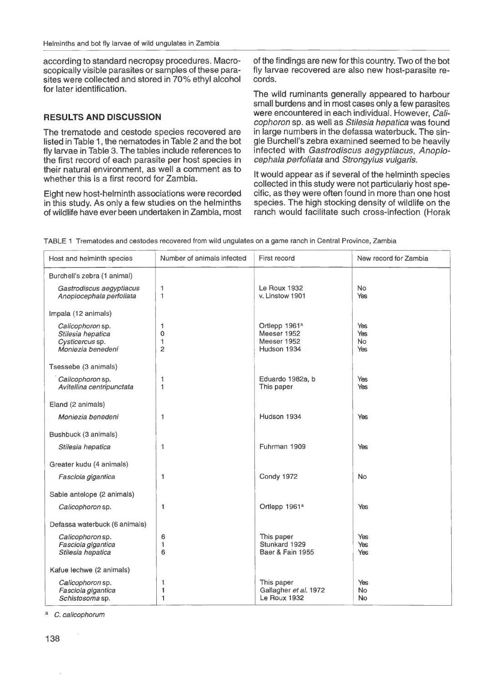according to standard necropsy procedures. Macroscopically visible parasites or samples of these parasites were collected and stored in 70% ethyl alcohol for later identification.

### **RESULTS AND DISCUSSION**

The trematode and cestode species recovered are listed in Table 1 , the nematodes in Table 2 and the bot fly larvae in Table 3. The tables include references to the first record of each parasite per host species in their natural environment, as well a comment as to whether this is a first record for Zambia.

Eight new host-helminth associations were recorded in this study. As only a few studies on the helminths of wildlife have ever been undertaken in Zambia, most of the findings are new for this country. Two of the bot fly larvae recovered are also new host-parasite records.

The wild ruminants generally appeared to harbour small burdens and in most cases only a few parasites were encountered in each individual. However, Calicophoron sp. as well as Stilesia hepatica was found in large numbers in the defassa waterbuck. The single Burchell's zebra examined seemed to be heavily infected with Gastrodiscus aegyptiacus, Anoplocephala perfoliata and Strongylus vulgaris.

It would appear as if several of the helminth species collected in this study were not particulariy host specific, as they were often found in more than one host species. The high stocking density of wildlife on the ranch would facilitate such cross-infection (Horak

| Host and helminth species                                                     | Number of animals infected           | First record                                                           | New record for Zambia    |
|-------------------------------------------------------------------------------|--------------------------------------|------------------------------------------------------------------------|--------------------------|
| Burchell's zebra (1 animal)                                                   |                                      |                                                                        |                          |
| Gastrodiscus aegyptiacus<br>Anoplocephala perfoliata                          | 1<br>1                               | Le Roux 1932<br>v. Linstow 1901                                        | <b>No</b><br>Yes         |
| Impala (12 animals)                                                           |                                      |                                                                        |                          |
| Calicophoron sp.<br>Stilesia hepatica<br>Cysticercus sp.<br>Moniezia benedeni | 1<br>$\Omega$<br>1<br>$\overline{2}$ | Ortlepp 1961 <sup>a</sup><br>Meeser 1952<br>Meeser 1952<br>Hudson 1934 | Yes<br>Yes<br>No.<br>Yes |
| Tsessebe (3 animals)                                                          |                                      |                                                                        |                          |
| Calicophoron sp.<br>Avitellina centripunctata                                 | 1<br>$\mathbf{1}$                    | Eduardo 1982a, b<br>This paper                                         | Yes<br>Yes               |
| Eland (2 animals)                                                             |                                      |                                                                        |                          |
| Moniezia benedeni                                                             | 1                                    | Hudson 1934                                                            | Yes                      |
| Bushbuck (3 animals)                                                          |                                      |                                                                        |                          |
| Stilesia hepatica                                                             | $\mathbf{1}$                         | Fuhrman 1909                                                           | Yes                      |
| Greater kudu (4 animals)                                                      |                                      |                                                                        |                          |
| Fasciola gigantica                                                            | 1                                    | <b>Condy 1972</b>                                                      | No                       |
| Sable antelope (2 animals)                                                    |                                      |                                                                        |                          |
| Calicophoron sp.                                                              | 1                                    | Ortlepp 1961 <sup>a</sup>                                              | Yes                      |
| Defassa waterbuck (6 animals)                                                 |                                      |                                                                        |                          |
| Calicophoron sp.<br>Fasciola gigantica<br>Stilesia hepatica                   | 6<br>1<br>6                          | This paper<br>Stunkard 1929<br>Baer & Fain 1955                        | Yes<br>Yes<br>Yes        |
| Kafue lechwe (2 animals)                                                      |                                      |                                                                        |                          |
| Calicophoron sp.<br>Fasciola gigantica<br>Schistosoma sp.                     | 1<br>1<br>$\mathbf{1}$               | This paper<br>Gallagher et al. 1972<br>Le Roux 1932                    | Yes<br>No<br>No          |

TABLE 1 Trematodes and cestodes recovered from wild ungulates on a game ranch in Central Province, Zambia

C. calicophorum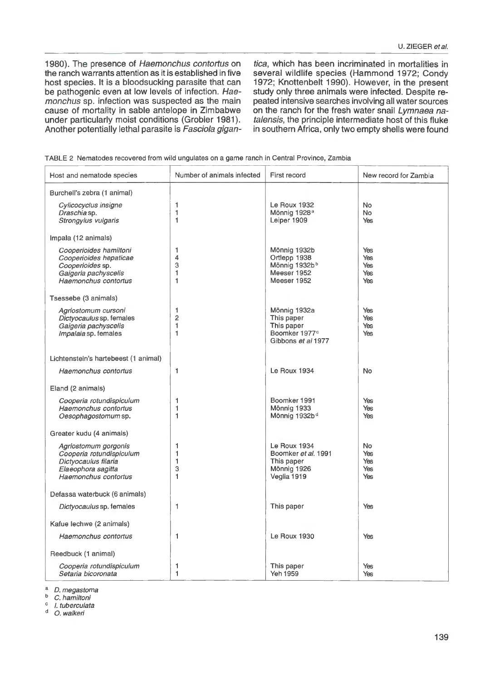1980). The presence of Haemonchus contortus on the ranch warrants attention as it is established in five host species. It is a bloodsucking parasite that can be pathogenic even at low levels of infection. Haemonchus sp. infection was suspected as the main cause of mortality in sable antelope in Zimbabwe under particularly moist conditions (Grobler 1981). Another potentially lethal parasite is Fasciola gigan-

tica, which has been incriminated in mortalities in several wildlife species (Hammond 1972; Condy 1972; Knottenbelt 1990). However, in the present study only three animals were infected. Despite repeated intensive searches involving all water sources on the ranch for the fresh water snail Lymnaea natalensis, the principle intermediate host of this fluke in southern Africa, only two empty shells were found

|  |  |  |  |  |  |  | TABLE 2 Nematodes recovered from wild ungulates on a game ranch in Central Province, Zambia |
|--|--|--|--|--|--|--|---------------------------------------------------------------------------------------------|
|--|--|--|--|--|--|--|---------------------------------------------------------------------------------------------|

| Host and nematode species                                                                                              | Number of animals infected    | First record                                                                                | New record for Zambia                 |
|------------------------------------------------------------------------------------------------------------------------|-------------------------------|---------------------------------------------------------------------------------------------|---------------------------------------|
| Burchell's zebra (1 animal)                                                                                            |                               |                                                                                             |                                       |
| Cylicocyclus insigne<br>Draschia sp.<br>Strongylus vulgaris                                                            | 1<br>1<br>1                   | Le Roux 1932<br>Mönnig 1928 <sup>a</sup><br>Leiper 1909                                     | No.<br>No.<br>Yes                     |
| Impala (12 animals)                                                                                                    |                               |                                                                                             |                                       |
| Cooperioides hamiltoni<br>Cooperioides hepaticae<br>Cooperioides sp.<br>Gaigeria pachyscelis<br>Haemonchus contortus   | 1<br>4<br>3<br>1<br>1         | Mönnig 1932b<br>Ortlepp 1938<br>Mönnig 1932bb<br>Meeser 1952<br>Meeser 1952                 | Yes<br>Yes<br>Yes<br>Yes<br>Yes       |
| Tsessebe (3 animals)                                                                                                   |                               |                                                                                             |                                       |
| Agriostomum cursoni<br>Dictyocaulus sp. females<br>Gaigeria pachyscelis<br>Impalaia sp. females                        | 1<br>$\overline{2}$<br>1<br>1 | Mönnig 1932a<br>This paper<br>This paper<br>Boomker 1977 <sup>c</sup><br>Gibbons et al 1977 | Yes<br><b>Yes</b><br>Yes<br>Yes       |
| Lichtenstein's hartebeest (1 animal)                                                                                   |                               |                                                                                             |                                       |
| Haemonchus contortus                                                                                                   | 1                             | Le Roux 1934                                                                                | <b>No</b>                             |
| Eland (2 animals)                                                                                                      |                               |                                                                                             |                                       |
| Cooperia rotundispiculum<br>Haemonchus contortus<br>Oesophagostomum sp.                                                | 1<br>1<br>1                   | Boomker 1991<br>Mönnig 1933<br>Mönnig 1932b <sup>d</sup>                                    | Yes<br>Yes<br>Yes                     |
| Greater kudu (4 animals)                                                                                               |                               |                                                                                             |                                       |
| Agriostomum gorgonis<br>Cooperia rotundispiculum<br>Dictyocaulus filaria<br>Elaeophora sagitta<br>Haemonchus contortus | 1<br>1<br>1<br>3<br>1         | Le Roux 1934<br>Boomker et al. 1991<br>This paper<br>Mönnig 1926<br>Veglia 1919             | <b>No</b><br>Yes<br>Yes<br>Yes<br>Yes |
| Defassa waterbuck (6 animals)                                                                                          |                               |                                                                                             |                                       |
| Dictyocaulus sp. females                                                                                               | 1                             | This paper                                                                                  | Yes                                   |
| Kafue lechwe (2 animals)                                                                                               |                               |                                                                                             |                                       |
| Haemonchus contortus                                                                                                   | 1                             | <b>Le Roux 1930</b>                                                                         | Yes                                   |
| Reedbuck (1 animal)                                                                                                    |                               |                                                                                             |                                       |
| Cooperia rotundispiculum<br>Setaria bicoronata                                                                         | 1<br>1                        | This paper<br>Yeh 1959                                                                      | Yes<br>Yes                            |

 $b$  D. megastoma

 $\frac{b}{c}$  C. hamiltoni

 $\frac{c}{d}$  *I.* tuberculata

O. walkeri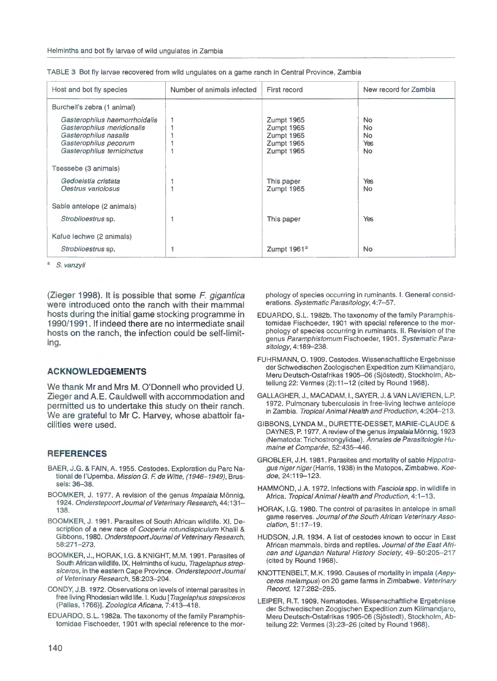| Host and bot fly species                                                                                                                    | Number of animals infected | First record                                                       | New record for Zambia                 |
|---------------------------------------------------------------------------------------------------------------------------------------------|----------------------------|--------------------------------------------------------------------|---------------------------------------|
| Burchell's zebra (1 animal)                                                                                                                 |                            |                                                                    |                                       |
| Gasterophilus haemorrhoidalis<br>Gasterophilus meridionalis<br>Gasterophilus nasalis<br>Gasterophilus pecorum<br>Gasterophilus ternicinctus |                            | Zumpt 1965<br>Zumpt 1965<br>Zumpt 1965<br>Zumpt 1965<br>Zumpt 1965 | No.<br>No.<br>No.<br>Yes<br><b>No</b> |
| Tsessebe (3 animals)                                                                                                                        |                            |                                                                    |                                       |
| Gedoelstia cristata<br>Oestrus variolosus                                                                                                   |                            | This paper<br>Zumpt 1965                                           | Yes<br><b>No</b>                      |
| Sable antelope (2 animals)                                                                                                                  |                            |                                                                    |                                       |
| Strobiloestrus sp.                                                                                                                          |                            | This paper                                                         | <b>Yes</b>                            |
| Kafue lechwe (2 animals)                                                                                                                    |                            |                                                                    |                                       |
| Strobiloestrus sp.                                                                                                                          |                            | Zumpt 1961 <sup>a</sup>                                            | <b>No</b>                             |

| TABLE 3 Bot fly larvae recovered from wild ungulates on a game ranch in Central Province, Zambia |
|--------------------------------------------------------------------------------------------------|
|--------------------------------------------------------------------------------------------------|

a S. vanzyli

(Zieger 1998). It is possible that some F. gigantica were introduced onto the ranch with their mammal hosts during the initial game stocking programme in 1990/1991. If indeed there are no intermediate snail hosts on the ranch, the infection could be self-limiting.

#### **ACKNOWLEDGEMENTS**

We thank Mr and Mrs M. O'Donnell who provided U. Zieger and A.E. Cauldwell with accommodation and permitted us to undertake this study on their ranch. We are grateful to Mr C. Harvey, whose abattoir facilities were used.

#### **REFERENCES**

- BAER, J.G. & FAIN, A. 1955. Cestodes. Exploration du Pare National de l'Upemba. Mission G. F. de Witte, (1946-1949), Brussels: 36-38.
- BOOMKER, J. 1977. A revision of the genus Impalaia Mönnig, 1924. Onderstepoort Journal of Veterinary Research, 44:131- 138.
- BOOMKER, J. 1991. Parasites of South African wildlife. XI. Description of a new race of Cooperia rotundispiculum Khalil & Gibbons, 1980. Onderstepoort Journal of Veterinary Research, 58:271-273.
- BOOMKER, J., HORAK, I.G. & KNIGHT, M.M. 1991. Parasites of South African wildlife. IX. Helminths of kudu, Tragelaphus strepsiceros, in the eastern Cape Province. Onderstepoort Journal of Veterinary Research, 58:203-204.
- CONDY, J.B. 1972. Observations on levels of internal parasites in free living Rhodesian wild life. I. Kudu [Tragelaphus strepsiceros (Pallas, 1766)]. Zoologica Aficana, 7:413-418.
- EDUARDO, S.L. 1982a. The taxonomy of the family Paramphistomidae Fischoeder, 1901 with special reference to the mor-

phology of species occurring in ruminants. I. General considerations. Systematic Parasitology, 4:7-57.

- EDUARDO, S.L. 1982b. The taxonomy of the family Paramphistomidae Fischoeder, 1901 with special reference to the morphology of species occurring in ruminants. II. Revision of the genus Paramphistomum Fischoeder, 1901 . Systematic Parasitology, 4:189-238.
- FUHRMANN, O. 1909. Cestodes. Wissenschaftliche Ergebnisse der Schwedischen Zoologischen Expedition zum Kilimandjaro, Meru Deutsch-Ostafrikas 1905-06 (Sjostedt), Stockholm, Abteilung 22: Vermes (2):11-12 (cited by Round 1968).
- GALLAGHER, J., MACADAM, 1. , SAYER, J. & VAN LAVIEREN, L.P. 1972. Pulmonary tuberculosis in free-living lechwe antelope in Zambia. Tropical Animal Health and Production, 4:204-213.
- GIBBONS, LYNDA M., DURETTE-DESSET, MARIE-CLAUDE & DAYNES, P. 1977. A review of the genus Impalaia Mönnig, 1923 (Nematoda: Trichostrongylidae). Annales de Parasitologie Humaine et Comparée, 52:435-446.
- GROBLER, J.H. 1981 . Parasites and mortality of sable Hippotragus niger niger (Harris, 1938) in the Matopos, Zimbabwe. Koedoe, 24:119-123.
- HAMMOND, J.A. 1972. Infections with Fasciola spp. in wildlife in Africa. Tropical Animal Health and Production, 4:1-13.
- HORAK, I.G. 1980. The control of parasites in antelope in small game reserves. Journal of the South African Veterinary Association, 51:17-19.
- HUDSON, J.R. 1934. A list of cestodes known to occur in East African mammals, birds and reptiles. Journal of the East African and Ugandan Natural History Society, 49-50:205-217 (cited by Round 1968}.
- KNOTTENBELT, M.K. 1990. Causes of mortality in impala (Aepyceros melampus) on 20 game farms in Zimbabwe. Veterinary Record, 127:282-285.
- LEIPER, R.T. 1909. Nematodes. Wissenschaftliche Ergebnisse der Schwedischen Zoogischen Expedition zum Kilimandjaro, Meru Deutsch-Ostafrikas 1905-06 (Sjostedt), Stockholm, Abteilung 22: Vermes (3):23-26 (cited by Round 1968).